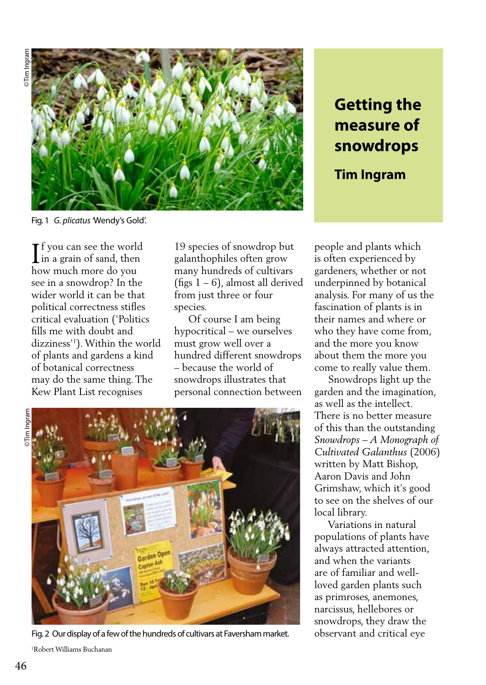

Fig. 1 *G. plicatus '*Wendy's Gold'.

If you can see the world<br>in a grain of sand, then **T** f you can see the world how much more do you see in a snowdrop? In the wider world it can be that political correctness stifles critical evaluation ('Politics fills me with doubt and dizziness'1 ). Within the world of plants and gardens a kind of botanical correctness may do the same thing. The Kew Plant List recognises

19 species of snowdrop but galanthophiles often grow many hundreds of cultivars (figs 1 – 6), almost all derived from just three or four species.

 Of course I am being hypocritical – we ourselves must grow well over a hundred different snowdrops – because the world of snowdrops illustrates that personal connection between

## ©Tim Ingram im Ingran



Fig. 2 Our display of a few of the hundreds of cultivars at Faversham market. 1 Robert Williams Buchanan

## **Getting the measure of snowdrops**

**Tim Ingram** 

people and plants which is often experienced by gardeners, whether or not underpinned by botanical analysis. For many of us the fascination of plants is in their names and where or who they have come from, and the more you know about them the more you come to really value them.

 Snowdrops light up the garden and the imagination, as well as the intellect. There is no better measure of this than the outstanding *Snowdrops – A Monograph of Cultivated Galanthus* (2006) written by Matt Bishop, Aaron Davis and John Grimshaw, which it's good to see on the shelves of our local library.

 Variations in natural populations of plants have always attracted attention, and when the variants are of familiar and wellloved garden plants such as primroses, anemones, narcissus, hellebores or snowdrops, they draw the observant and critical eye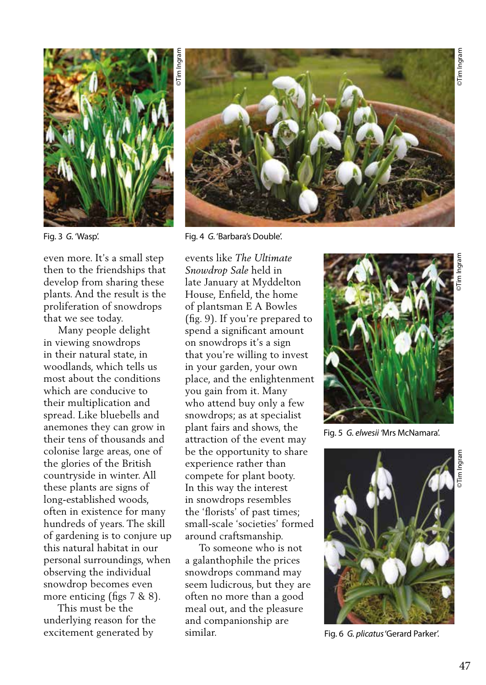

even more. It's a small step then to the friendships that develop from sharing these plants. And the result is the proliferation of snowdrops that we see today.

 Many people delight in viewing snowdrops in their natural state, in woodlands, which tells us most about the conditions which are conducive to their multiplication and spread. Like bluebells and anemones they can grow in their tens of thousands and colonise large areas, one of the glories of the British countryside in winter. All these plants are signs of long-established woods, often in existence for many hundreds of years. The skill of gardening is to conjure up this natural habitat in our personal surroundings, when observing the individual snowdrop becomes even more enticing (figs 7 & 8).

 This must be the underlying reason for the excitement generated by



Fig. 3 *G.* 'Wasp'. Fig. 4 *G.* 'Barbara's Double'.

events like *The Ultimate Snowdrop Sale* held in late January at Myddelton House, Enfield, the home of plantsman E A Bowles (fig. 9). If you're prepared to spend a significant amount on snowdrops it's a sign that you're willing to invest in your garden, your own place, and the enlightenment you gain from it. Many who attend buy only a few snowdrops; as at specialist plant fairs and shows, the attraction of the event may be the opportunity to share experience rather than compete for plant booty. In this way the interest in snowdrops resembles the 'florists' of past times; small-scale 'societies' formed around craftsmanship.

 To someone who is not a galanthophile the prices snowdrops command may seem ludicrous, but they are often no more than a good meal out, and the pleasure and companionship are similar.



Fig. 5 *G. elwesii '*Mrs McNamara'.



Fig. 6 *G. plicatus* 'Gerard Parker'.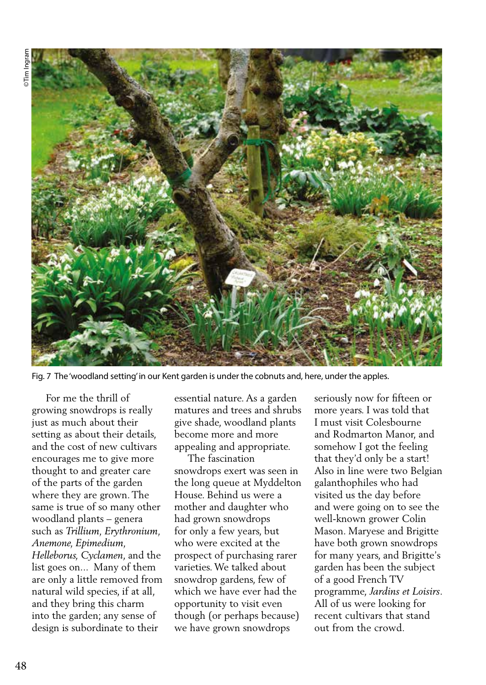

Fig. 7 The 'woodland setting' in our Kent garden is under the cobnuts and, here, under the apples.

 For me the thrill of growing snowdrops is really just as much about their setting as about their details, and the cost of new cultivars encourages me to give more thought to and greater care of the parts of the garden where they are grown. The same is true of so many other woodland plants – genera such as *Trillium, Erythronium, Anemone, Epimedium, Helleborus, Cyclamen*, and the list goes on... Many of them are only a little removed from natural wild species, if at all, and they bring this charm into the garden; any sense of design is subordinate to their

essential nature. As a garden matures and trees and shrubs give shade, woodland plants become more and more appealing and appropriate.

 The fascination snowdrops exert was seen in the long queue at Myddelton House. Behind us were a mother and daughter who had grown snowdrops for only a few years, but who were excited at the prospect of purchasing rarer varieties. We talked about snowdrop gardens, few of which we have ever had the opportunity to visit even though (or perhaps because) we have grown snowdrops

seriously now for fifteen or more years. I was told that I must visit Colesbourne and Rodmarton Manor, and somehow I got the feeling that they'd only be a start! Also in line were two Belgian galanthophiles who had visited us the day before and were going on to see the well-known grower Colin Mason. Maryese and Brigitte have both grown snowdrops for many years, and Brigitte's garden has been the subject of a good French TV programme, *Jardins et Loisirs*. All of us were looking for recent cultivars that stand out from the crowd.